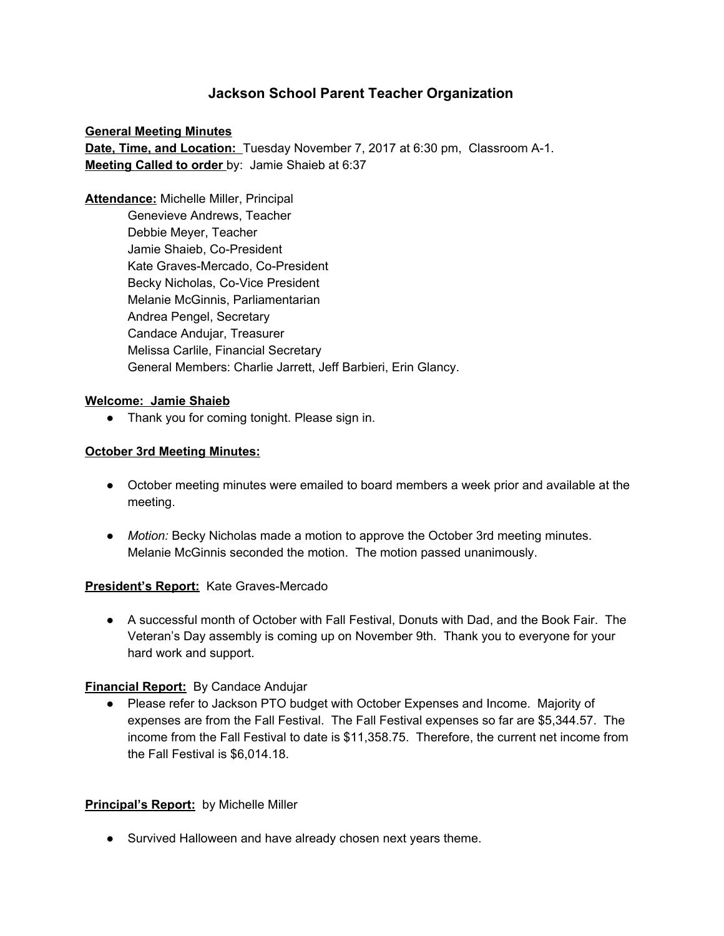# **Jackson School Parent Teacher Organization**

**General Meeting Minutes Date, Time, and Location:** Tuesday November 7, 2017 at 6:30 pm, Classroom A-1. **Meeting Called to order** by: Jamie Shaieb at 6:37

**Attendance:** Michelle Miller, Principal Genevieve Andrews, Teacher Debbie Meyer, Teacher Jamie Shaieb, Co-President Kate Graves-Mercado, Co-President Becky Nicholas, Co-Vice President Melanie McGinnis, Parliamentarian Andrea Pengel, Secretary Candace Andujar, Treasurer Melissa Carlile, Financial Secretary General Members: Charlie Jarrett, Jeff Barbieri, Erin Glancy.

#### **Welcome: Jamie Shaieb**

• Thank you for coming tonight. Please sign in.

#### **October 3rd Meeting Minutes:**

- October meeting minutes were emailed to board members a week prior and available at the meeting.
- *Motion:* Becky Nicholas made a motion to approve the October 3rd meeting minutes. Melanie McGinnis seconded the motion. The motion passed unanimously.

#### **President's Report:** Kate Graves-Mercado

● A successful month of October with Fall Festival, Donuts with Dad, and the Book Fair. The Veteran's Day assembly is coming up on November 9th. Thank you to everyone for your hard work and support.

### **Financial Report:** By Candace Andujar

● Please refer to Jackson PTO budget with October Expenses and Income. Majority of expenses are from the Fall Festival. The Fall Festival expenses so far are \$5,344.57. The income from the Fall Festival to date is \$11,358.75. Therefore, the current net income from the Fall Festival is \$6,014.18.

### **Principal's Report:** by Michelle Miller

● Survived Halloween and have already chosen next years theme.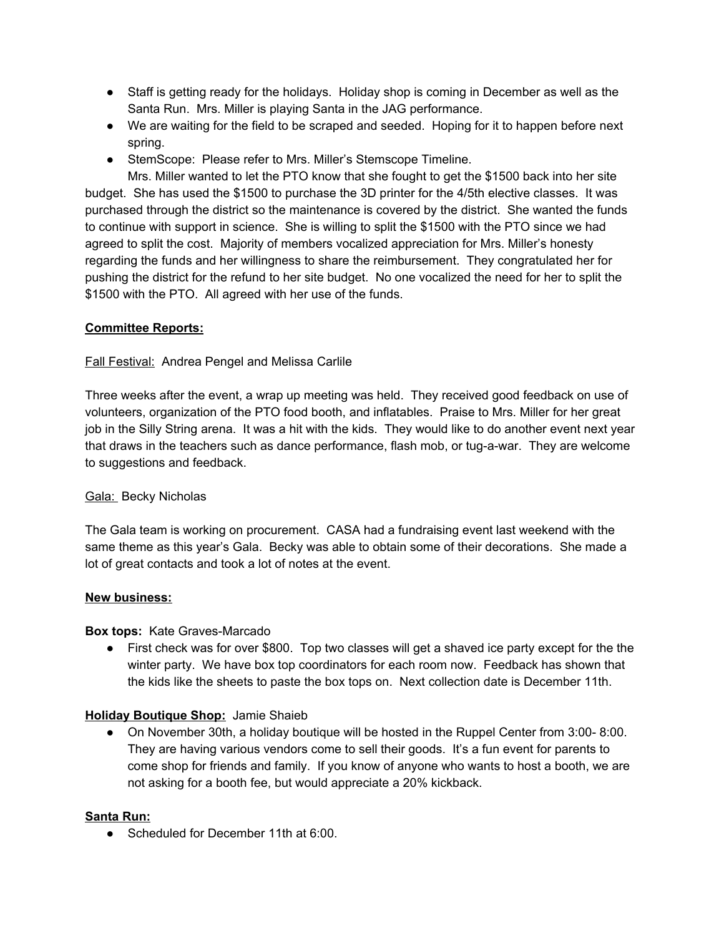- Staff is getting ready for the holidays. Holiday shop is coming in December as well as the Santa Run. Mrs. Miller is playing Santa in the JAG performance.
- We are waiting for the field to be scraped and seeded. Hoping for it to happen before next spring.
- StemScope: Please refer to Mrs. Miller's Stemscope Timeline.

Mrs. Miller wanted to let the PTO know that she fought to get the \$1500 back into her site budget. She has used the \$1500 to purchase the 3D printer for the 4/5th elective classes. It was purchased through the district so the maintenance is covered by the district. She wanted the funds to continue with support in science. She is willing to split the \$1500 with the PTO since we had agreed to split the cost. Majority of members vocalized appreciation for Mrs. Miller's honesty regarding the funds and her willingness to share the reimbursement. They congratulated her for pushing the district for the refund to her site budget. No one vocalized the need for her to split the \$1500 with the PTO. All agreed with her use of the funds.

## **Committee Reports:**

### Fall Festival: Andrea Pengel and Melissa Carlile

Three weeks after the event, a wrap up meeting was held. They received good feedback on use of volunteers, organization of the PTO food booth, and inflatables. Praise to Mrs. Miller for her great job in the Silly String arena. It was a hit with the kids. They would like to do another event next year that draws in the teachers such as dance performance, flash mob, or tug-a-war. They are welcome to suggestions and feedback.

### Gala: Becky Nicholas

The Gala team is working on procurement. CASA had a fundraising event last weekend with the same theme as this year's Gala. Becky was able to obtain some of their decorations. She made a lot of great contacts and took a lot of notes at the event.

### **New business:**

### **Box tops:** Kate Graves-Marcado

● First check was for over \$800. Top two classes will get a shaved ice party except for the the winter party. We have box top coordinators for each room now. Feedback has shown that the kids like the sheets to paste the box tops on. Next collection date is December 11th.

### **Holiday Boutique Shop:** Jamie Shaieb

● On November 30th, a holiday boutique will be hosted in the Ruppel Center from 3:00- 8:00. They are having various vendors come to sell their goods. It's a fun event for parents to come shop for friends and family. If you know of anyone who wants to host a booth, we are not asking for a booth fee, but would appreciate a 20% kickback.

### **Santa Run:**

● Scheduled for December 11th at 6:00.